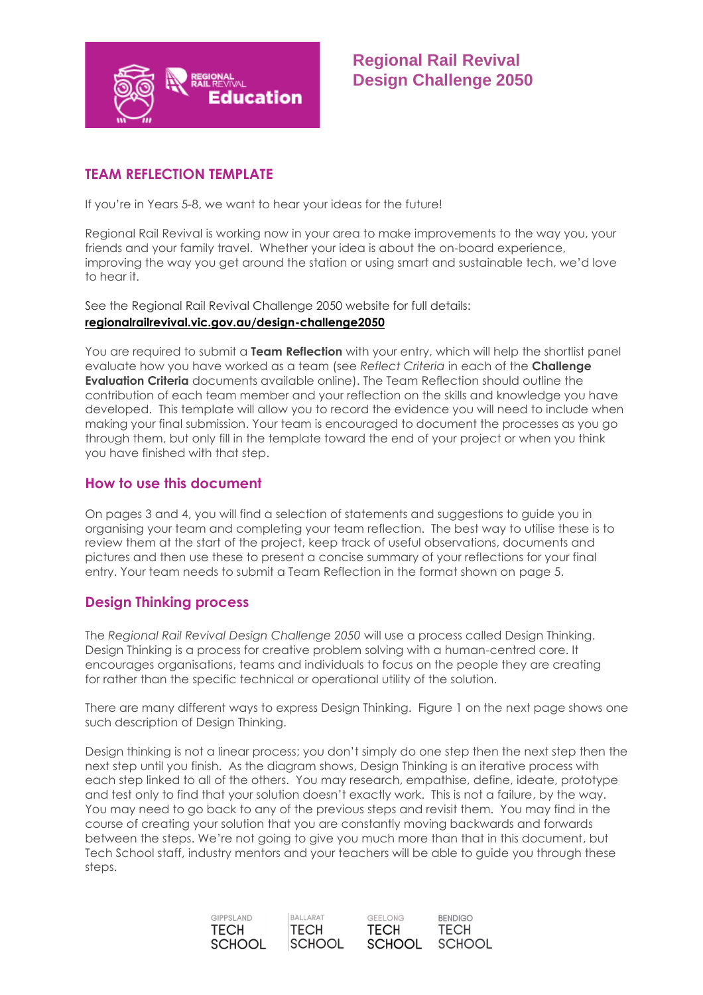

# **Regional Rail Revival Design Challenge 2050**

### **TEAM REFLECTION TEMPLATE**

If you're in Years 5-8, we want to hear your ideas for the future!

Regional Rail Revival is working now in your area to make improvements to the way you, your friends and your family travel. Whether your idea is about the on-board experience, improving the way you get around the station or using smart and sustainable tech, we'd love to hear it.

See the Regional Rail Revival Challenge 2050 website for full details: **[regionalrailrevival.vic.gov.au/design-challenge2](https://regionalrailrevival.vic.gov.au/bendigoechuca/design-challenge)050**

You are required to submit a **Team Reflection** with your entry, which will help the shortlist panel evaluate how you have worked as a team (see *Reflect Criteria* in each of the **Challenge Evaluation Criteria** documents available online). The Team Reflection should outline the contribution of each team member and your reflection on the skills and knowledge you have developed. This template will allow you to record the evidence you will need to include when making your final submission. Your team is encouraged to document the processes as you go through them, but only fill in the template toward the end of your project or when you think you have finished with that step.

### **How to use this document**

On pages 3 and 4, you will find a selection of statements and suggestions to guide you in organising your team and completing your team reflection. The best way to utilise these is to review them at the start of the project, keep track of useful observations, documents and pictures and then use these to present a concise summary of your reflections for your final entry. Your team needs to submit a Team Reflection in the format shown on page 5.

### **Design Thinking process**

The *Regional Rail Revival Design Challenge 2050* will use a process called Design Thinking. Design Thinking is a process for creative problem solving with a human-centred core. It encourages organisations, teams and individuals to focus on the people they are creating for rather than the specific technical or operational utility of the solution.

There are many different ways to express Design Thinking. Figure 1 on the next page shows one such description of Design Thinking.

Design thinking is not a linear process; you don't simply do one step then the next step then the next step until you finish. As the diagram shows, Design Thinking is an iterative process with each step linked to all of the others. You may research, empathise, define, ideate, prototype and test only to find that your solution doesn't exactly work. This is not a failure, by the way. You may need to go back to any of the previous steps and revisit them. You may find in the course of creating your solution that you are constantly moving backwards and forwards between the steps. We're not going to give you much more than that in this document, but Tech School staff, industry mentors and your teachers will be able to guide you through these steps.

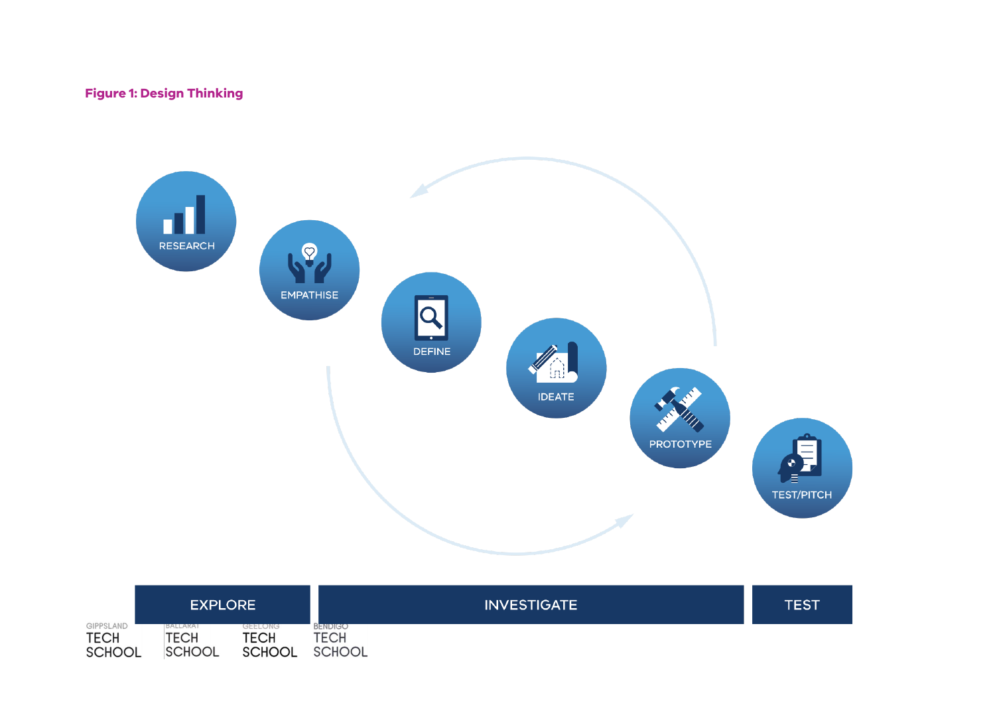## **Figure 1: Design Thinking**



|               | <b>EXPLORE</b> |               | <b>INVESTIGATE</b> | TEST |
|---------------|----------------|---------------|--------------------|------|
| GIPPSLAND     | BALLARAT       | GEELONG       | BENDIGO            |      |
| <b>TECH</b>   | <b>TECH</b>    | TECH          | TECH               |      |
| <b>SCHOOL</b> | <b>SCHOOL</b>  | <b>SCHOOL</b> | <b>SCHOOL</b>      |      |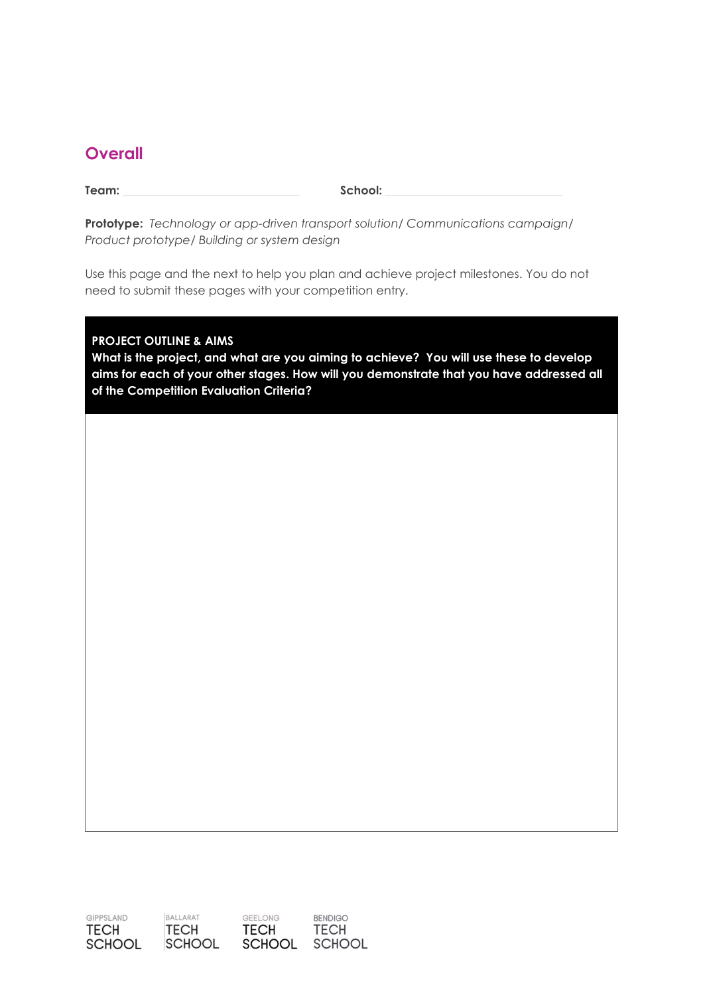# **Overall**

**Team: \_\_\_\_\_\_\_\_\_\_\_\_\_\_\_\_\_\_\_\_\_\_\_\_\_\_\_\_\_\_ School: \_\_\_\_\_\_\_\_\_\_\_\_\_\_\_\_\_\_\_\_\_\_\_\_\_\_\_\_\_\_**

**Prototype:** *Technology or app-driven transport solution/ Communications campaign/ Product prototype/ Building or system design*

Use this page and the next to help you plan and achieve project milestones. You do not need to submit these pages with your competition entry.

#### **PROJECT OUTLINE & AIMS**

**What is the project, and what are you aiming to achieve? You will use these to develop aims for each of your other stages. How will you demonstrate that you have addressed all of the Competition Evaluation Criteria?**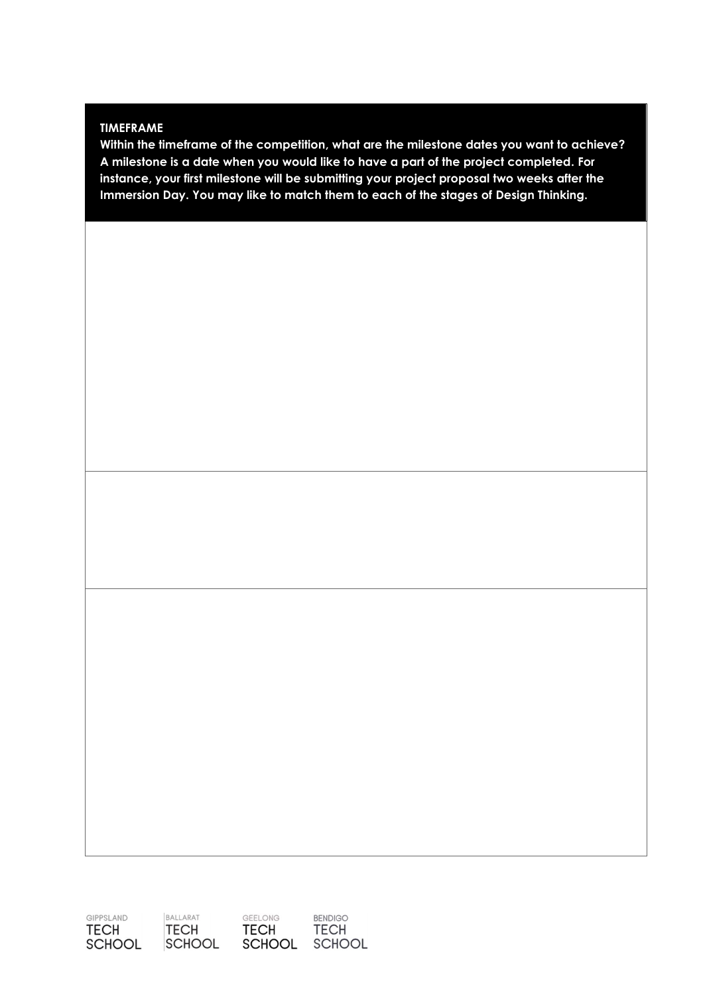#### **TIMEFRAME**

**Within the timeframe of the competition, what are the milestone dates you want to achieve? A milestone is a date when you would like to have a part of the project completed. For instance, your first milestone will be submitting your project proposal two weeks after the Immersion Day. You may like to match them to each of the stages of Design Thinking.**

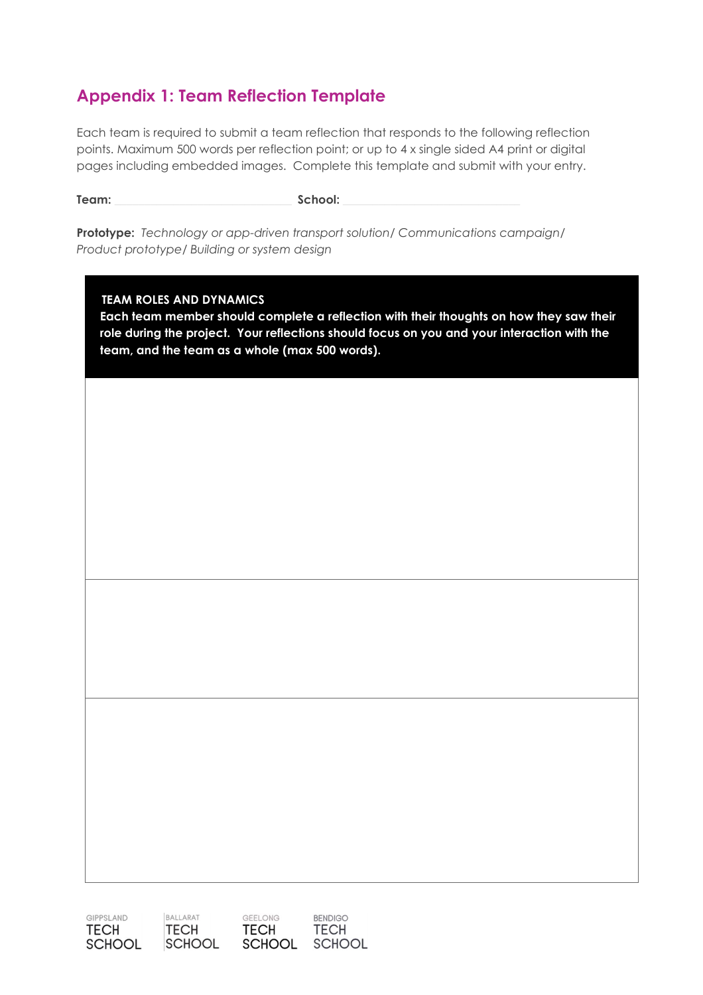# **Appendix 1: Team Reflection Template**

Each team is required to submit a team reflection that responds to the following reflection points. Maximum 500 words per reflection point; or up to 4 x single sided A4 print or digital pages including embedded images. Complete this template and submit with your entry.

**Team: \_\_\_\_\_\_\_\_\_\_\_\_\_\_\_\_\_\_\_\_\_\_\_\_\_\_\_\_\_\_ School: \_\_\_\_\_\_\_\_\_\_\_\_\_\_\_\_\_\_\_\_\_\_\_\_\_\_\_\_\_\_**

**Prototype:** *Technology or app-driven transport solution/ Communications campaign/ Product prototype/ Building or system design*

#### **TEAM ROLES AND DYNAMICS**

**Each team member should complete a reflection with their thoughts on how they saw their role during the project. Your reflections should focus on you and your interaction with the team, and the team as a whole (max 500 words).**